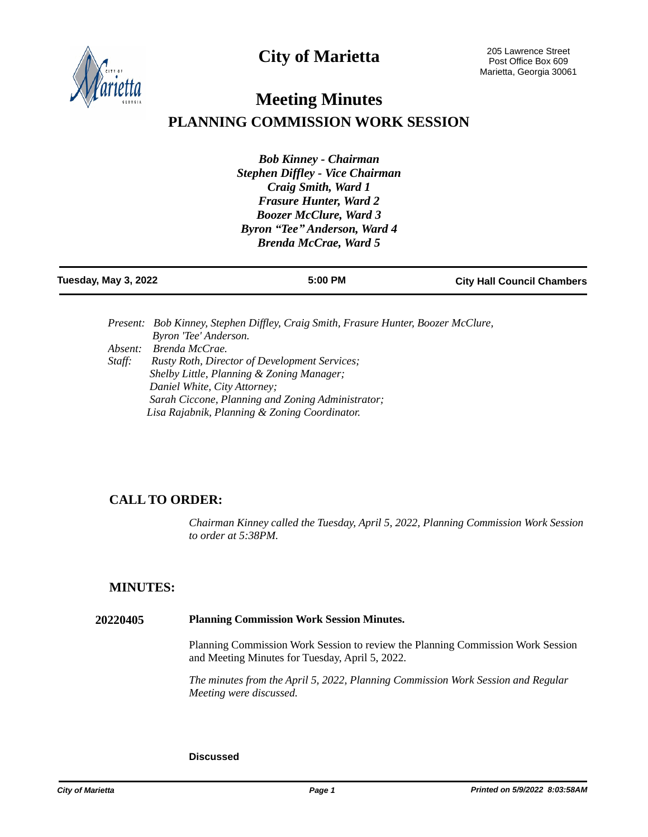**City of Marietta**



# **Meeting Minutes PLANNING COMMISSION WORK SESSION**

*Bob Kinney - Chairman Stephen Diffley - Vice Chairman Craig Smith, Ward 1 Frasure Hunter, Ward 2 Boozer McClure, Ward 3 Byron "Tee" Anderson, Ward 4 Brenda McCrae, Ward 5*

| Tuesday, May 3, 2022 | 5:00 PM | <b>City Hall Council Chambers</b> |
|----------------------|---------|-----------------------------------|
|                      |         |                                   |

|         | Present: Bob Kinney, Stephen Diffley, Craig Smith, Frasure Hunter, Boozer McClure, |
|---------|------------------------------------------------------------------------------------|
|         | Byron 'Tee' Anderson.                                                              |
| Absent: | Brenda McCrae.                                                                     |
| Staff:  | <b>Rusty Roth, Director of Development Services;</b>                               |
|         | Shelby Little, Planning & Zoning Manager;                                          |
|         | Daniel White, City Attorney;                                                       |
|         | Sarah Ciccone, Planning and Zoning Administrator;                                  |
|         | Lisa Rajabnik, Planning & Zoning Coordinator.                                      |

## **CALL TO ORDER:**

*Chairman Kinney called the Tuesday, April 5, 2022, Planning Commission Work Session to order at 5:38PM.*

### **MINUTES:**

#### **20220405 Planning Commission Work Session Minutes.**

Planning Commission Work Session to review the Planning Commission Work Session and Meeting Minutes for Tuesday, April 5, 2022.

*The minutes from the April 5, 2022, Planning Commission Work Session and Regular Meeting were discussed.*

#### **Discussed**